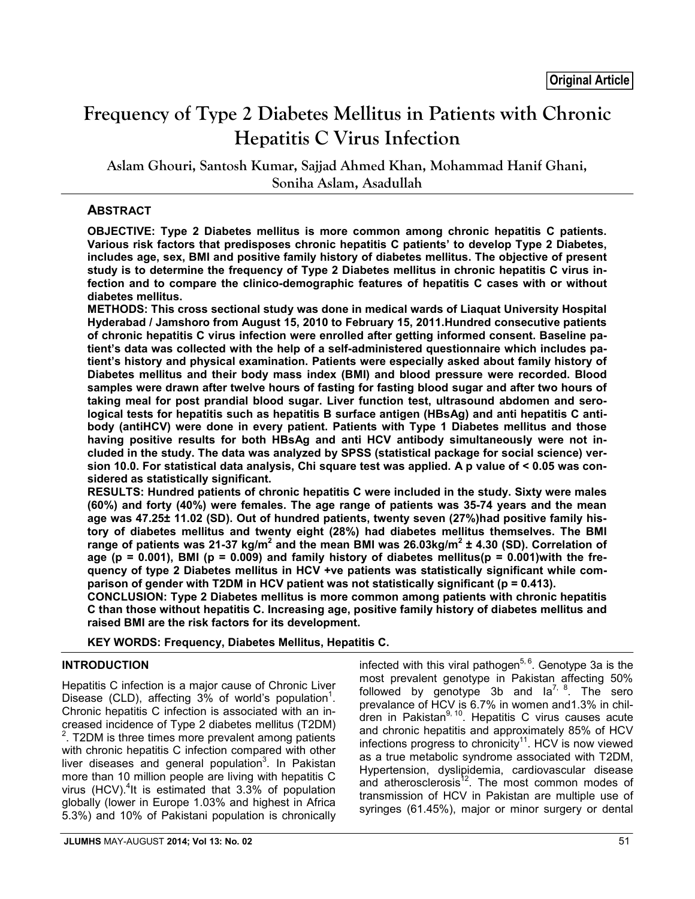# **Frequency of Type 2 Diabetes Mellitus in Patients with Chronic Hepatitis C Virus Infection**

**Aslam Ghouri, Santosh Kumar, Sajjad Ahmed Khan, Mohammad Hanif Ghani, Soniha Aslam, Asadullah**

# **ABSTRACT**

**OBJECTIVE: Type 2 Diabetes mellitus is more common among chronic hepatitis C patients. Various risk factors that predisposes chronic hepatitis C patients' to develop Type 2 Diabetes, includes age, sex, BMI and positive family history of diabetes mellitus. The objective of present study is to determine the frequency of Type 2 Diabetes mellitus in chronic hepatitis C virus infection and to compare the clinico-demographic features of hepatitis C cases with or without diabetes mellitus.**

**METHODS: This cross sectional study was done in medical wards of Liaquat University Hospital Hyderabad / Jamshoro from August 15, 2010 to February 15, 2011.Hundred consecutive patients of chronic hepatitis C virus infection were enrolled after getting informed consent. Baseline patient's data was collected with the help of a self-administered questionnaire which includes patient's history and physical examination. Patients were especially asked about family history of Diabetes mellitus and their body mass index (BMI) and blood pressure were recorded. Blood samples were drawn after twelve hours of fasting for fasting blood sugar and after two hours of taking meal for post prandial blood sugar. Liver function test, ultrasound abdomen and serological tests for hepatitis such as hepatitis B surface antigen (HBsAg) and anti hepatitis C antibody (antiHCV) were done in every patient. Patients with Type 1 Diabetes mellitus and those having positive results for both HBsAg and anti HCV antibody simultaneously were not included in the study. The data was analyzed by SPSS (statistical package for social science) version 10.0. For statistical data analysis, Chi square test was applied. A p value of ˂ 0.05 was considered as statistically significant.**

**RESULTS: Hundred patients of chronic hepatitis C were included in the study. Sixty were males (60%) and forty (40%) were females. The age range of patients was 35-74 years and the mean age was 47.25± 11.02 (SD). Out of hundred patients, twenty seven (27%)had positive family history of diabetes mellitus and twenty eight (28%) had diabetes mellitus themselves. The BMI range of patients was 21-37 kg/m2 and the mean BMI was 26.03kg/m<sup>2</sup> ± 4.30 (SD). Correlation of age (p = 0.001), BMI (p = 0.009) and family history of diabetes mellitus(p = 0.001)with the frequency of type 2 Diabetes mellitus in HCV +ve patients was statistically significant while comparison of gender with T2DM in HCV patient was not statistically significant (p = 0.413).**

**CONCLUSION: Type 2 Diabetes mellitus is more common among patients with chronic hepatitis C than those without hepatitis C. Increasing age, positive family history of diabetes mellitus and raised BMI are the risk factors for its development.**

**KEY WORDS: Frequency, Diabetes Mellitus, Hepatitis C.**

# **INTRODUCTION**

Hepatitis C infection is a major cause of Chronic Liver Disease (CLD), affecting  $3\%$  of world's population<sup>1</sup>. Chronic hepatitis C infection is associated with an increased incidence of Type 2 diabetes mellitus (T2DM)  $2$ . T2DM is three times more prevalent among patients with chronic hepatitis C infection compared with other liver diseases and general population<sup>3</sup>. In Pakistan more than 10 million people are living with hepatitis C virus (HCV).<sup>4</sup>It is estimated that  $3.3\%$  of population globally (lower in Europe 1.03% and highest in Africa 5.3%) and 10% of Pakistani population is chronically

infected with this viral pathogen<sup>5, 6</sup>. Genotype 3a is the most prevalent genotype in Pakistan affecting 50% followed by genotype 3b and  $1a^{7/8}$ . The sero prevalance of HCV is 6.7% in women and1.3% in children in Pakistan<sup>9, 10</sup>. Hepatitis C virus causes acute and chronic hepatitis and approximately 85% of HCV infections progress to chronicity<sup>11</sup>. HCV is now viewed as a true metabolic syndrome associated with T2DM, Hypertension, dyslipidemia, cardiovascular disease and atherosclerosis<sup>12</sup>. The most common modes of transmission of HCV in Pakistan are multiple use of syringes (61.45%), major or minor surgery or dental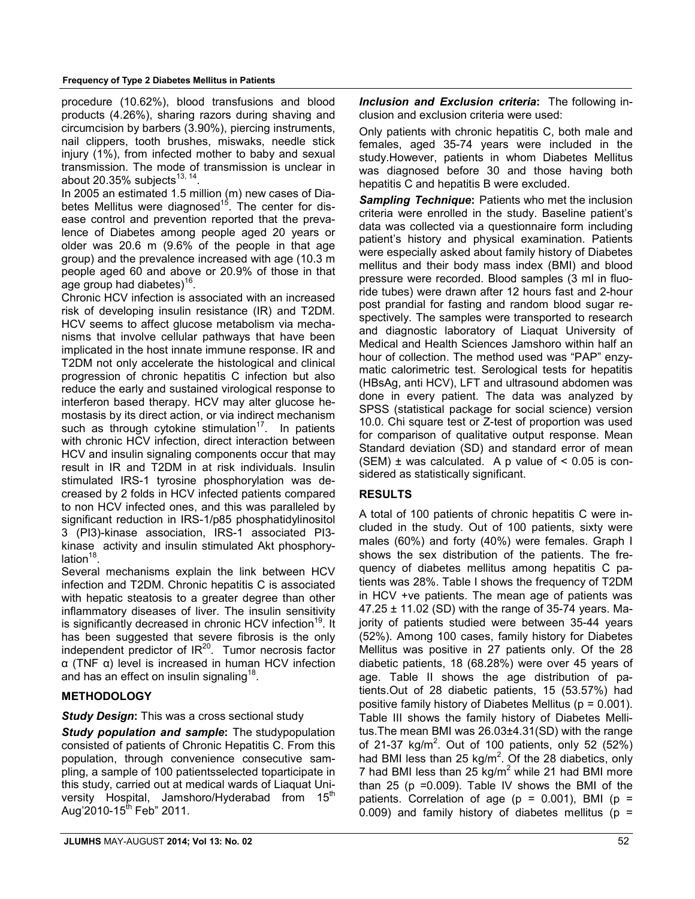#### **Frequency of Type 2 Diabetes Mellitus in Patients**

procedure (10.62%), blood transfusions and blood products (4.26%), sharing razors during shaving and circumcision by barbers (3.90%), piercing instruments, nail clippers, tooth brushes, miswaks, needle stick injury (1%), from infected mother to baby and sexual transmission. The mode of transmission is unclear in about 20.35% subjects<sup>13, 14</sup>.

In 2005 an estimated 1.5 million (m) new cases of Diabetes Mellitus were diagnosed<sup>15</sup>. The center for disease control and prevention reported that the prevalence of Diabetes among people aged 20 years or older was 20.6 m (9.6% of the people in that age group) and the prevalence increased with age (10.3 m people aged 60 and above or 20.9% of those in that age group had diabetes)<sup>16</sup>.

Chronic HCV infection is associated with an increased risk of developing insulin resistance (IR) and T2DM. HCV seems to affect glucose metabolism via mechanisms that involve cellular pathways that have been implicated in the host innate immune response. IR and T2DM not only accelerate the histological and clinical progression of chronic hepatitis C infection but also reduce the early and sustained virological response to interferon based therapy. HCV may alter glucose hemostasis by its direct action, or via indirect mechanism such as through cytokine stimulation<sup>17</sup>. In patients with chronic HCV infection, direct interaction between HCV and insulin signaling components occur that may result in IR and T2DM in at risk individuals. Insulin stimulated IRS-1 tyrosine phosphorylation was decreased by 2 folds in HCV infected patients compared to non HCV infected ones, and this was paralleled by significant reduction in IRS-1/p85 phosphatidylinositol 3 (PI3)-kinase association, IRS-1 associated PI3 kinase activity and insulin stimulated Akt phosphorylation<sup>18</sup>

Several mechanisms explain the link between HCV infection and T2DM. Chronic hepatitis C is associated with hepatic steatosis to a greater degree than other inflammatory diseases of liver. The insulin sensitivity is significantly decreased in chronic HCV infection<sup>19</sup>. It has been suggested that severe fibrosis is the only independent predictor of  $IR^{20}$ . Tumor necrosis factor α (TNF α) level is increased in human HCV infection and has an effect on insulin signaling<sup>18</sup>.

# **METHODOLOGY**

## *Study Design***:** This was a cross sectional study

*Study population and sample***:** The studypopulation consisted of patients of Chronic Hepatitis C. From this population, through convenience consecutive sampling, a sample of 100 patientsselected toparticipate in this study, carried out at medical wards of Liaquat University Hospital, Jamshoro/Hyderabad from 15<sup>th</sup> Aug'2010-15<sup>th</sup> Feb" 2011.

*Inclusion and Exclusion criteria***:** The following inclusion and exclusion criteria were used:

Only patients with chronic hepatitis C, both male and females, aged 35-74 years were included in the study.However, patients in whom Diabetes Mellitus was diagnosed before 30 and those having both hepatitis C and hepatitis B were excluded.

**Sampling Technique:** Patients who met the inclusion criteria were enrolled in the study. Baseline patient's data was collected via a questionnaire form including patient's history and physical examination. Patients were especially asked about family history of Diabetes mellitus and their body mass index (BMI) and blood pressure were recorded. Blood samples (3 ml in fluoride tubes) were drawn after 12 hours fast and 2-hour post prandial for fasting and random blood sugar respectively. The samples were transported to research and diagnostic laboratory of Liaquat University of Medical and Health Sciences Jamshoro within half an hour of collection. The method used was "PAP" enzymatic calorimetric test. Serological tests for hepatitis (HBsAg, anti HCV), LFT and ultrasound abdomen was done in every patient. The data was analyzed by SPSS (statistical package for social science) version 10.0. Chi square test or Z-test of proportion was used for comparison of qualitative output response. Mean Standard deviation (SD) and standard error of mean (SEM)  $\pm$  was calculated. A p value of  $\leq$  0.05 is considered as statistically significant.

# **RESULTS**

A total of 100 patients of chronic hepatitis C were included in the study. Out of 100 patients, sixty were males (60%) and forty (40%) were females. Graph I shows the sex distribution of the patients. The frequency of diabetes mellitus among hepatitis C patients was 28%. Table I shows the frequency of T2DM in HCV +ve patients. The mean age of patients was 47.25 ± 11.02 (SD) with the range of 35-74 years. Majority of patients studied were between 35-44 years (52%). Among 100 cases, family history for Diabetes Mellitus was positive in 27 patients only. Of the 28 diabetic patients, 18 (68.28%) were over 45 years of age. Table II shows the age distribution of patients.Out of 28 diabetic patients, 15 (53.57%) had positive family history of Diabetes Mellitus (p = 0.001). Table III shows the family history of Diabetes Mellitus.The mean BMI was 26.03±4.31(SD) with the range of 21-37 kg/m<sup>2</sup>. Out of 100 patients, only 52 (52%) had BMI less than 25 kg/m<sup>2</sup>. Of the 28 diabetics, only 7 had BMI less than 25 kg/ $m^2$  while 21 had BMI more than 25 ( $p = 0.009$ ). Table IV shows the BMI of the patients. Correlation of age ( $p = 0.001$ ), BMI ( $p =$ 0.009) and family history of diabetes mellitus ( $p =$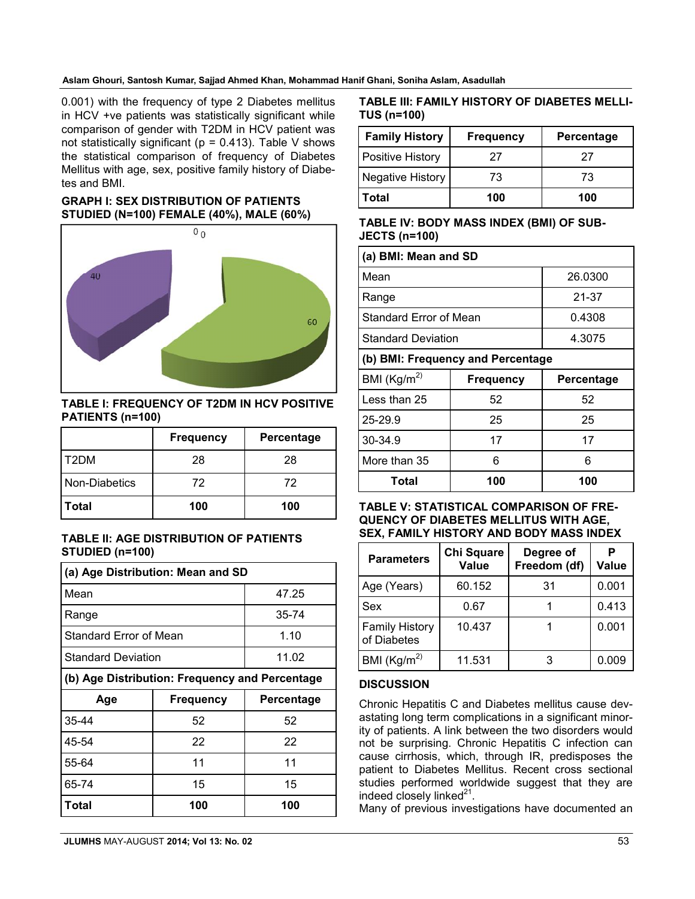#### **Aslam Ghouri, Santosh Kumar, Sajjad Ahmed Khan, Mohammad Hanif Ghani, Soniha Aslam, Asadullah**

0.001) with the frequency of type 2 Diabetes mellitus in HCV +ve patients was statistically significant while comparison of gender with T2DM in HCV patient was not statistically significant ( $p = 0.413$ ). Table V shows the statistical comparison of frequency of Diabetes Mellitus with age, sex, positive family history of Diabetes and BMI.

## **GRAPH I: SEX DISTRIBUTION OF PATIENTS STUDIED (N=100) FEMALE (40%), MALE (60%)**



**TABLE I: FREQUENCY OF T2DM IN HCV POSITIVE PATIENTS (n=100)**

|               | <b>Frequency</b> | Percentage |  |
|---------------|------------------|------------|--|
| l T2DM        | 28               | 28         |  |
| Non-Diabetics | 72               | 72         |  |
| Total         | 100              | 100        |  |

## **TABLE II: AGE DISTRIBUTION OF PATIENTS STUDIED (n=100)**

| (a) Age Distribution: Mean and SD              |                  |            |  |  |  |
|------------------------------------------------|------------------|------------|--|--|--|
| Mean                                           | 47.25            |            |  |  |  |
| Range                                          | 35-74            |            |  |  |  |
| Standard Error of Mean                         |                  | 1.10       |  |  |  |
| <b>Standard Deviation</b>                      |                  | 11.02      |  |  |  |
| (b) Age Distribution: Frequency and Percentage |                  |            |  |  |  |
| Age                                            | <b>Frequency</b> | Percentage |  |  |  |
| 35-44                                          | 52               | 52         |  |  |  |
| 45-54                                          | 22               | 22         |  |  |  |
| 55-64                                          | 11               | 11         |  |  |  |
| 65-74                                          | 15               | 15         |  |  |  |
| Total                                          | 100              | 100        |  |  |  |

## **TABLE III: FAMILY HISTORY OF DIABETES MELLI-TUS (n=100)**

| <b>Family History</b>   | <b>Frequency</b> | Percentage |  |
|-------------------------|------------------|------------|--|
| <b>Positive History</b> | 27               | 27         |  |
| Negative History        | 73               | 73         |  |
| Total                   | 100              | 100        |  |

## **TABLE IV: BODY MASS INDEX (BMI) OF SUB-JECTS (n=100)**

| (a) BMI: Mean and SD              |                  |            |  |  |  |
|-----------------------------------|------------------|------------|--|--|--|
| Mean                              | 26.0300          |            |  |  |  |
| Range                             |                  | 21-37      |  |  |  |
| Standard Error of Mean            |                  | 0.4308     |  |  |  |
| <b>Standard Deviation</b>         |                  | 4.3075     |  |  |  |
| (b) BMI: Frequency and Percentage |                  |            |  |  |  |
| BMI $(Kg/m^2)$                    | <b>Frequency</b> | Percentage |  |  |  |
| Less than 25                      | 52               | 52         |  |  |  |
|                                   |                  |            |  |  |  |
| 25-29.9                           | 25               | 25         |  |  |  |
| 30-34.9                           | 17               | 17         |  |  |  |
| More than 35                      | 6                | 6          |  |  |  |

#### **TABLE V: STATISTICAL COMPARISON OF FRE-QUENCY OF DIABETES MELLITUS WITH AGE, SEX, FAMILY HISTORY AND BODY MASS INDEX**

| <b>Parameters</b>                    | Chi Square<br><b>Value</b> | Degree of<br>Freedom (df) | <b>Value</b> |
|--------------------------------------|----------------------------|---------------------------|--------------|
| Age (Years)                          | 60.152                     | 31                        | 0.001        |
| <b>Sex</b>                           | 0.67                       |                           | 0.413        |
| <b>Family History</b><br>of Diabetes | 10.437                     |                           | 0.001        |
| BMI ( $\text{Kg/m}^2$ )              | 11.531                     |                           | 0.009        |

## **DISCUSSION**

Chronic Hepatitis C and Diabetes mellitus cause devastating long term complications in a significant minority of patients. A link between the two disorders would not be surprising. Chronic Hepatitis C infection can cause cirrhosis, which, through IR, predisposes the patient to Diabetes Mellitus. Recent cross sectional studies performed worldwide suggest that they are indeed closely linked $^{21}$ .

Many of previous investigations have documented an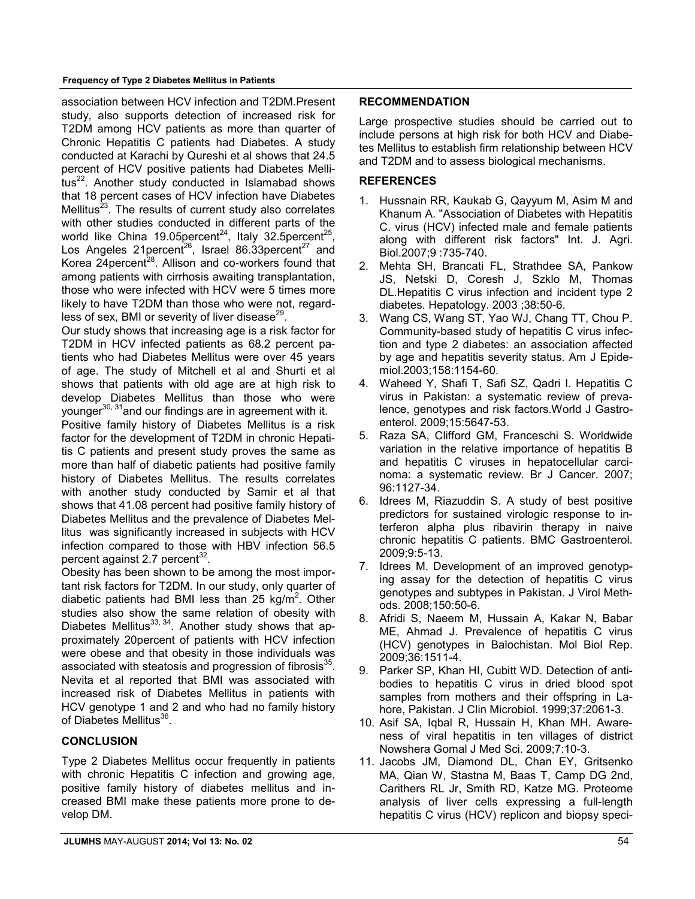#### **Frequency of Type 2 Diabetes Mellitus in Patients**

association between HCV infection and T2DM.Present study, also supports detection of increased risk for T2DM among HCV patients as more than quarter of Chronic Hepatitis C patients had Diabetes. A study conducted at Karachi by Qureshi et al shows that 24.5 percent of HCV positive patients had Diabetes Mellitus<sup>22</sup>. Another study conducted in Islamabad shows that 18 percent cases of HCV infection have Diabetes Mellitus<sup>23</sup>. The results of current study also correlates with other studies conducted in different parts of the world like China 19.05 percent<sup>24</sup>, Italy 32.5 percent<sup>25</sup>, Los Angeles 21 percent<sup>26</sup>, Israel 86.33 percent<sup>27</sup> and Korea  $24$ percent<sup>28</sup>. Allison and co-workers found that among patients with cirrhosis awaiting transplantation, those who were infected with HCV were 5 times more likely to have T2DM than those who were not, regardless of sex, BMI or severity of liver disease $^{29}$ .

Our study shows that increasing age is a risk factor for T2DM in HCV infected patients as 68.2 percent patients who had Diabetes Mellitus were over 45 years of age. The study of Mitchell et al and Shurti et al shows that patients with old age are at high risk to develop Diabetes Mellitus than those who were younger<sup>30, 31</sup>and our findings are in agreement with it.

Positive family history of Diabetes Mellitus is a risk factor for the development of T2DM in chronic Hepatitis C patients and present study proves the same as more than half of diabetic patients had positive family history of Diabetes Mellitus. The results correlates with another study conducted by Samir et al that shows that 41.08 percent had positive family history of Diabetes Mellitus and the prevalence of Diabetes Mellitus was significantly increased in subjects with HCV infection compared to those with HBV infection 56.5 percent against 2.7 percent $^{32}$ .

Obesity has been shown to be among the most important risk factors for T2DM. In our study, only quarter of diabetic patients had BMI less than 25 kg/m<sup>2</sup>. Other studies also show the same relation of obesity with Diabetes Mellitus<sup>33, 34</sup>. Another study shows that approximately 20percent of patients with HCV infection were obese and that obesity in those individuals was associated with steatosis and progression of fibrosis<sup>35</sup>. Nevita et al reported that BMI was associated with increased risk of Diabetes Mellitus in patients with HCV genotype 1 and 2 and who had no family history of Diabetes Mellitus<sup>36</sup>.

## **CONCLUSION**

Type 2 Diabetes Mellitus occur frequently in patients with chronic Hepatitis C infection and growing age, positive family history of diabetes mellitus and increased BMI make these patients more prone to develop DM.

## **RECOMMENDATION**

Large prospective studies should be carried out to include persons at high risk for both HCV and Diabetes Mellitus to establish firm relationship between HCV and T2DM and to assess biological mechanisms.

## **REFERENCES**

- 1. Hussnain RR, Kaukab G, Qayyum M, Asim M and Khanum A. "Association of Diabetes with Hepatitis C. virus (HCV) infected male and female patients along with different risk factors" Int. J. Agri. Biol.2007;9 :735-740.
- 2. Mehta SH, Brancati FL, Strathdee SA, Pankow JS, Netski D, Coresh J, Szklo M, Thomas DL.Hepatitis C virus infection and incident type 2 diabetes. Hepatology. 2003 ;38:50-6.
- 3. Wang CS, Wang ST, Yao WJ, Chang TT, Chou P. Community-based study of hepatitis C virus infection and type 2 diabetes: an association affected by age and hepatitis severity status. Am J Epidemiol.2003;158:1154-60.
- 4. Waheed Y, Shafi T, Safi SZ, Qadri I. Hepatitis C virus in Pakistan: a systematic review of prevalence, genotypes and risk factors.World J Gastroenterol. 2009;15:5647-53.
- 5. Raza SA, Clifford GM, Franceschi S. Worldwide variation in the relative importance of hepatitis B and hepatitis C viruses in hepatocellular carcinoma: a systematic review. Br J Cancer. 2007; 96:1127-34.
- 6. Idrees M, Riazuddin S. A study of best positive predictors for sustained virologic response to interferon alpha plus ribavirin therapy in naive chronic hepatitis C patients. BMC Gastroenterol. 2009;9:5-13.
- 7. Idrees M. Development of an improved genotyping assay for the detection of hepatitis C virus genotypes and subtypes in Pakistan. J Virol Methods. 2008;150:50-6.
- 8. Afridi S, Naeem M, Hussain A, Kakar N, Babar ME, Ahmad J. Prevalence of hepatitis C virus (HCV) genotypes in Balochistan. Mol Biol Rep. 2009;36:1511-4.
- 9. Parker SP, Khan HI, Cubitt WD. Detection of antibodies to hepatitis C virus in dried blood spot samples from mothers and their offspring in Lahore, Pakistan. J Clin Microbiol. 1999;37:2061-3.
- 10. Asif SA, Iqbal R, Hussain H, Khan MH. Awareness of viral hepatitis in ten villages of district Nowshera Gomal J Med Sci. 2009;7:10-3.
- 11. Jacobs JM, Diamond DL, Chan EY, Gritsenko MA, Qian W, Stastna M, Baas T, Camp DG 2nd, Carithers RL Jr, Smith RD, Katze MG. Proteome analysis of liver cells expressing a full-length hepatitis C virus (HCV) replicon and biopsy speci-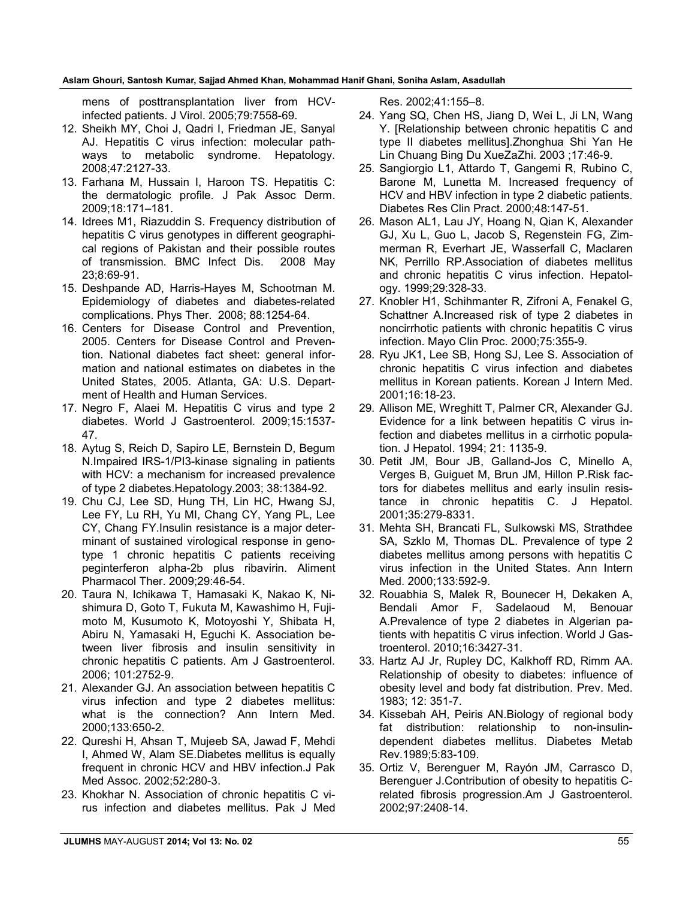#### **Aslam Ghouri, Santosh Kumar, Sajjad Ahmed Khan, Mohammad Hanif Ghani, Soniha Aslam, Asadullah**

mens of posttransplantation liver from HCVinfected patients. J Virol. 2005;79:7558-69.

- 12. Sheikh MY, Choi J, Qadri I, Friedman JE, Sanyal AJ. Hepatitis C virus infection: molecular pathways to metabolic syndrome. Hepatology. 2008;47:2127-33.
- 13. Farhana M, Hussain I, Haroon TS. Hepatitis C: the dermatologic profile. J Pak Assoc Derm. 2009;18:171–181.
- 14. Idrees M1, Riazuddin S. Frequency distribution of hepatitis C virus genotypes in different geographical regions of Pakistan and their possible routes of transmission. BMC Infect Dis. 2008 May 23;8:69-91.
- 15. Deshpande AD, Harris-Hayes M, Schootman M. Epidemiology of diabetes and diabetes-related complications. Phys Ther. 2008; 88:1254-64.
- 16. Centers for Disease Control and Prevention, 2005. Centers for Disease Control and Prevention. National diabetes fact sheet: general information and national estimates on diabetes in the United States, 2005. Atlanta, GA: U.S. Department of Health and Human Services.
- 17. Negro F, Alaei M. Hepatitis C virus and type 2 diabetes. World J Gastroenterol. 2009;15:1537- 47.
- 18. Aytug S, Reich D, Sapiro LE, Bernstein D, Begum N.Impaired IRS-1/PI3-kinase signaling in patients with HCV: a mechanism for increased prevalence of type 2 diabetes.Hepatology.2003; 38:1384-92.
- 19. Chu CJ, Lee SD, Hung TH, Lin HC, Hwang SJ, Lee FY, Lu RH, Yu MI, Chang CY, Yang PL, Lee CY, Chang FY.Insulin resistance is a major determinant of sustained virological response in genotype 1 chronic hepatitis C patients receiving peginterferon alpha-2b plus ribavirin. Aliment Pharmacol Ther. 2009;29:46-54.
- 20. Taura N, Ichikawa T, Hamasaki K, Nakao K, Nishimura D, Goto T, Fukuta M, Kawashimo H, Fujimoto M, Kusumoto K, Motoyoshi Y, Shibata H, Abiru N, Yamasaki H, Eguchi K. Association between liver fibrosis and insulin sensitivity in chronic hepatitis C patients. Am J Gastroenterol. 2006; 101:2752-9.
- 21. Alexander GJ. An association between hepatitis C virus infection and type 2 diabetes mellitus: what is the connection? Ann Intern Med. 2000;133:650-2.
- 22. Qureshi H, Ahsan T, Mujeeb SA, Jawad F, Mehdi I, Ahmed W, Alam SE.Diabetes mellitus is equally frequent in chronic HCV and HBV infection.J Pak Med Assoc. 2002;52:280-3.
- 23. Khokhar N. Association of chronic hepatitis C virus infection and diabetes mellitus. Pak J Med

Res. 2002;41:155–8.

- 24. Yang SQ, Chen HS, Jiang D, Wei L, Ji LN, Wang Y. [Relationship between chronic hepatitis C and type II diabetes mellitus].Zhonghua Shi Yan He Lin Chuang Bing Du XueZaZhi. 2003 ;17:46-9.
- 25. Sangiorgio L1, Attardo T, Gangemi R, Rubino C, Barone M, Lunetta M. Increased frequency of HCV and HBV infection in type 2 diabetic patients. Diabetes Res Clin Pract. 2000;48:147-51.
- 26. Mason AL1, Lau JY, Hoang N, Qian K, Alexander GJ, Xu L, Guo L, Jacob S, Regenstein FG, Zimmerman R, Everhart JE, Wasserfall C, Maclaren NK, Perrillo RP.Association of diabetes mellitus and chronic hepatitis C virus infection. Hepatology. 1999;29:328-33.
- 27. Knobler H1, Schihmanter R, Zifroni A, Fenakel G, Schattner A.Increased risk of type 2 diabetes in noncirrhotic patients with chronic hepatitis C virus infection. Mayo Clin Proc. 2000;75:355-9.
- 28. Ryu JK1, Lee SB, Hong SJ, Lee S. Association of chronic hepatitis C virus infection and diabetes mellitus in Korean patients. Korean J Intern Med. 2001;16:18-23.
- 29. Allison ME, Wreghitt T, Palmer CR, Alexander GJ. Evidence for a link between hepatitis C virus infection and diabetes mellitus in a cirrhotic population. J Hepatol. 1994; 21: 1135-9.
- 30. Petit JM, Bour JB, Galland-Jos C, Minello A, Verges B, Guiguet M, Brun JM, Hillon P.Risk factors for diabetes mellitus and early insulin resistance in chronic hepatitis C. J Hepatol. 2001;35:279-8331.
- 31. Mehta SH, Brancati FL, Sulkowski MS, Strathdee SA, Szklo M, Thomas DL. Prevalence of type 2 diabetes mellitus among persons with hepatitis C virus infection in the United States. Ann Intern Med. 2000;133:592-9.
- 32. Rouabhia S, Malek R, Bounecer H, Dekaken A, Bendali Amor F, Sadelaoud M, Benouar A.Prevalence of type 2 diabetes in Algerian patients with hepatitis C virus infection. World J Gastroenterol. 2010;16:3427-31.
- 33. Hartz AJ Jr, Rupley DC, Kalkhoff RD, Rimm AA. Relationship of obesity to diabetes: influence of obesity level and body fat distribution. Prev. Med. 1983; 12: 351-7.
- 34. Kissebah AH, Peiris AN.Biology of regional body fat distribution: relationship to non-insulindependent diabetes mellitus. Diabetes Metab Rev.1989;5:83-109.
- 35. Ortiz V, Berenguer M, Rayón JM, Carrasco D, Berenguer J.Contribution of obesity to hepatitis Crelated fibrosis progression.Am J Gastroenterol. 2002;97:2408-14.